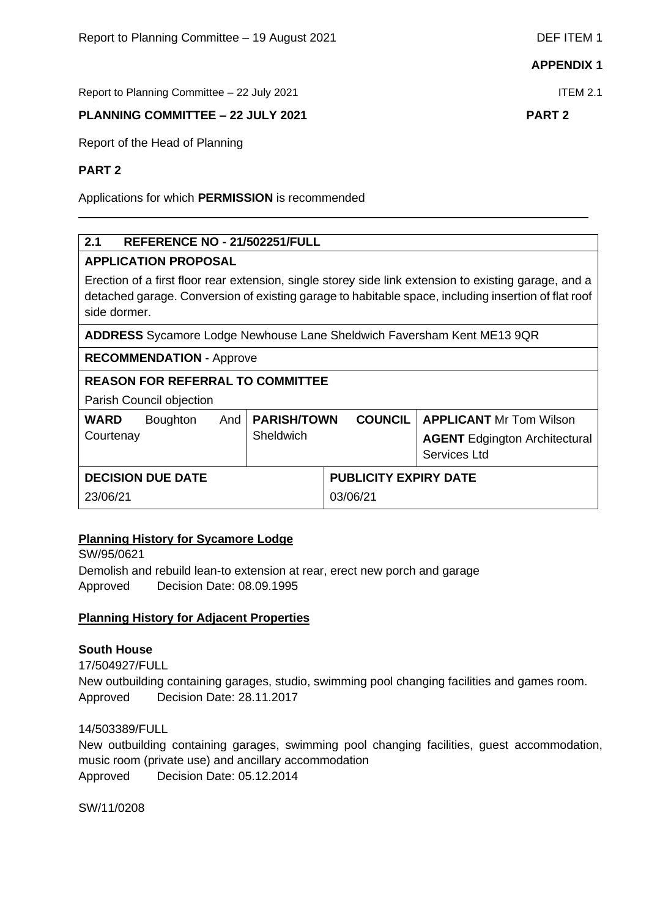Report to Planning Committee – 22 July 2021 ITEM 2.1

# **PLANNING COMMITTEE – 22 JULY 2021 PART 2**

Report of the Head of Planning

### **PART 2**

Applications for which **PERMISSION** is recommended

# **2.1 REFERENCE NO - 21/502251/FULL**

# **APPLICATION PROPOSAL**

Erection of a first floor rear extension, single storey side link extension to existing garage, and a detached garage. Conversion of existing garage to habitable space, including insertion of flat roof side dormer.

**ADDRESS** Sycamore Lodge Newhouse Lane Sheldwich Faversham Kent ME13 9QR

**RECOMMENDATION** - Approve

# **REASON FOR REFERRAL TO COMMITTEE**

Parish Council objection

| <b>WARD</b><br>Courtenay | <b>Boughton</b> |  | And   PARISH/TOWN<br>Sheldwich |                              | <b>COUNCIL   APPLICANT Mr Tom Wilson</b><br><b>AGENT</b> Edgington Architectural<br>Services Ltd |
|--------------------------|-----------------|--|--------------------------------|------------------------------|--------------------------------------------------------------------------------------------------|
| <b>DECISION DUE DATE</b> |                 |  |                                | <b>PUBLICITY EXPIRY DATE</b> |                                                                                                  |
| 23/06/21                 |                 |  |                                | 03/06/21                     |                                                                                                  |

# **Planning History for Sycamore Lodge**

SW/95/0621 Demolish and rebuild lean-to extension at rear, erect new porch and garage Approved Decision Date: 08.09.1995

# **Planning History for Adjacent Properties**

# **South House**

17/504927/FULL

New outbuilding containing garages, studio, swimming pool changing facilities and games room. Approved Decision Date: 28.11.2017

14/503389/FULL

New outbuilding containing garages, swimming pool changing facilities, guest accommodation, music room (private use) and ancillary accommodation Approved Decision Date: 05.12.2014

SW/11/0208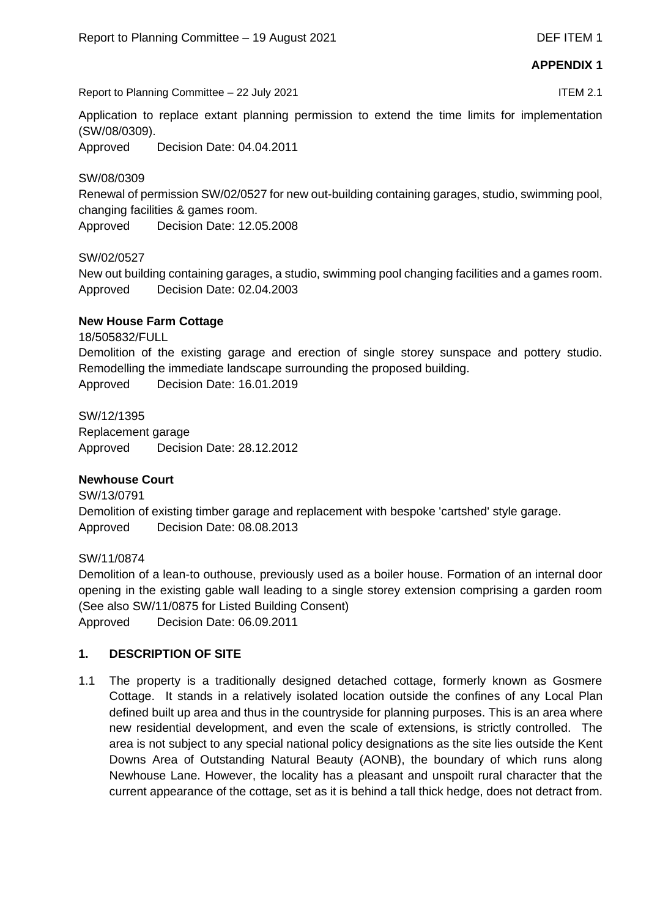Report to Planning Committee – 22 July 2021 ITEM 2.1

Application to replace extant planning permission to extend the time limits for implementation (SW/08/0309).

Approved Decision Date: 04.04.2011

#### SW/08/0309

Renewal of permission SW/02/0527 for new out-building containing garages, studio, swimming pool, changing facilities & games room.

Approved Decision Date: 12.05.2008

#### SW/02/0527

New out building containing garages, a studio, swimming pool changing facilities and a games room. Approved Decision Date: 02.04.2003

#### **New House Farm Cottage**

18/505832/FULL

Demolition of the existing garage and erection of single storey sunspace and pottery studio. Remodelling the immediate landscape surrounding the proposed building.

Approved Decision Date: 16.01.2019

SW/12/1395

Replacement garage Approved Decision Date: 28.12.2012

# **Newhouse Court**

SW/13/0791 Demolition of existing timber garage and replacement with bespoke 'cartshed' style garage. Approved Decision Date: 08.08.2013

# SW/11/0874

Demolition of a lean-to outhouse, previously used as a boiler house. Formation of an internal door opening in the existing gable wall leading to a single storey extension comprising a garden room (See also SW/11/0875 for Listed Building Consent) Approved Decision Date: 06.09.2011

#### **1. DESCRIPTION OF SITE**

1.1 The property is a traditionally designed detached cottage, formerly known as Gosmere Cottage. It stands in a relatively isolated location outside the confines of any Local Plan defined built up area and thus in the countryside for planning purposes. This is an area where new residential development, and even the scale of extensions, is strictly controlled. The area is not subject to any special national policy designations as the site lies outside the Kent Downs Area of Outstanding Natural Beauty (AONB), the boundary of which runs along Newhouse Lane. However, the locality has a pleasant and unspoilt rural character that the current appearance of the cottage, set as it is behind a tall thick hedge, does not detract from.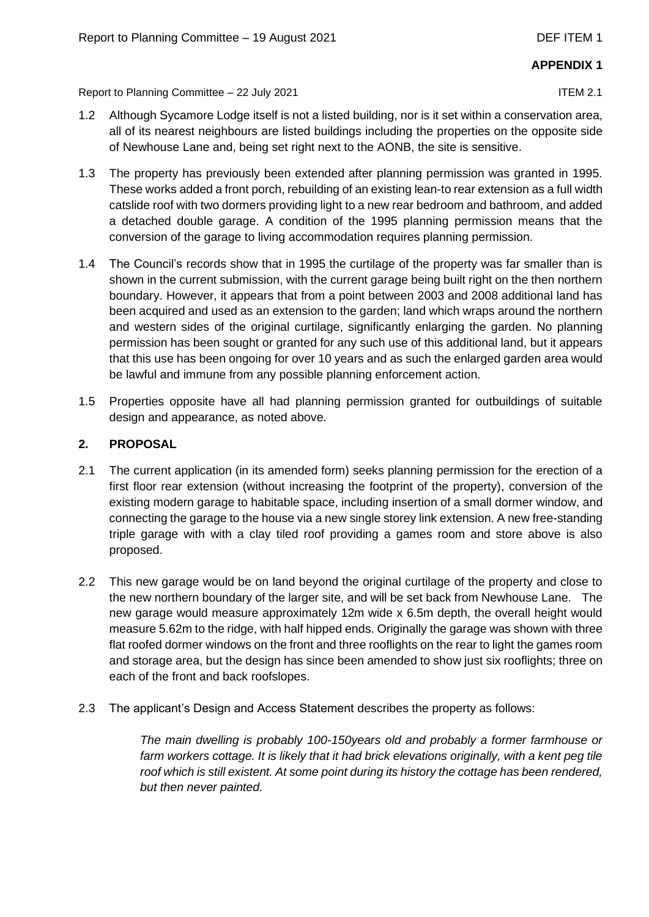Report to Planning Committee – 22 July 2021 ITEM 2.1

- 1.2 Although Sycamore Lodge itself is not a listed building, nor is it set within a conservation area, all of its nearest neighbours are listed buildings including the properties on the opposite side of Newhouse Lane and, being set right next to the AONB, the site is sensitive.
- 1.3 The property has previously been extended after planning permission was granted in 1995. These works added a front porch, rebuilding of an existing lean-to rear extension as a full width catslide roof with two dormers providing light to a new rear bedroom and bathroom, and added a detached double garage. A condition of the 1995 planning permission means that the conversion of the garage to living accommodation requires planning permission.
- 1.4 The Council's records show that in 1995 the curtilage of the property was far smaller than is shown in the current submission, with the current garage being built right on the then northern boundary. However, it appears that from a point between 2003 and 2008 additional land has been acquired and used as an extension to the garden; land which wraps around the northern and western sides of the original curtilage, significantly enlarging the garden. No planning permission has been sought or granted for any such use of this additional land, but it appears that this use has been ongoing for over 10 years and as such the enlarged garden area would be lawful and immune from any possible planning enforcement action.
- 1.5 Properties opposite have all had planning permission granted for outbuildings of suitable design and appearance, as noted above.

# **2. PROPOSAL**

- 2.1 The current application (in its amended form) seeks planning permission for the erection of a first floor rear extension (without increasing the footprint of the property), conversion of the existing modern garage to habitable space, including insertion of a small dormer window, and connecting the garage to the house via a new single storey link extension. A new free-standing triple garage with with a clay tiled roof providing a games room and store above is also proposed.
- 2.2 This new garage would be on land beyond the original curtilage of the property and close to the new northern boundary of the larger site, and will be set back from Newhouse Lane. The new garage would measure approximately 12m wide x 6.5m depth, the overall height would measure 5.62m to the ridge, with half hipped ends. Originally the garage was shown with three flat roofed dormer windows on the front and three rooflights on the rear to light the games room and storage area, but the design has since been amended to show just six rooflights; three on each of the front and back roofslopes.
- 2.3 The applicant's Design and Access Statement describes the property as follows:

*The main dwelling is probably 100-150years old and probably a former farmhouse or*  farm workers cottage. It is likely that it had brick elevations originally, with a kent peg tile *roof which is still existent. At some point during its history the cottage has been rendered, but then never painted.*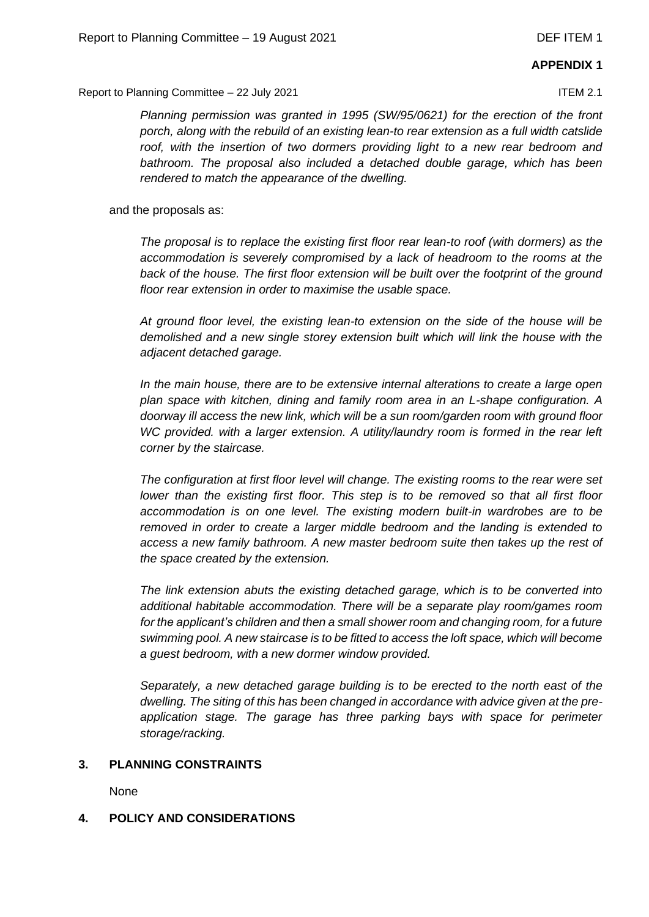Report to Planning Committee – 22 July 2021 ITEM 2.1

*Planning permission was granted in 1995 (SW/95/0621) for the erection of the front porch, along with the rebuild of an existing lean-to rear extension as a full width catslide roof, with the insertion of two dormers providing light to a new rear bedroom and bathroom. The proposal also included a detached double garage, which has been rendered to match the appearance of the dwelling.*

and the proposals as:

*The proposal is to replace the existing first floor rear lean-to roof (with dormers) as the accommodation is severely compromised by a lack of headroom to the rooms at the*  back of the house. The first floor extension will be built over the footprint of the ground *floor rear extension in order to maximise the usable space.*

*At ground floor level, the existing lean-to extension on the side of the house will be demolished and a new single storey extension built which will link the house with the adjacent detached garage.*

*In the main house, there are to be extensive internal alterations to create a large open plan space with kitchen, dining and family room area in an L-shape configuration. A doorway ill access the new link, which will be a sun room/garden room with ground floor WC provided. with a larger extension. A utility/laundry room is formed in the rear left corner by the staircase.*

*The configuration at first floor level will change. The existing rooms to the rear were set lower than the existing first floor. This step is to be removed so that all first floor accommodation is on one level. The existing modern built-in wardrobes are to be removed in order to create a larger middle bedroom and the landing is extended to access a new family bathroom. A new master bedroom suite then takes up the rest of the space created by the extension.*

*The link extension abuts the existing detached garage, which is to be converted into additional habitable accommodation. There will be a separate play room/games room for the applicant's children and then a small shower room and changing room, for a future swimming pool. A new staircase is to be fitted to access the loft space, which will become a guest bedroom, with a new dormer window provided.*

*Separately, a new detached garage building is to be erected to the north east of the dwelling. The siting of this has been changed in accordance with advice given at the preapplication stage. The garage has three parking bays with space for perimeter storage/racking.*

# **3. PLANNING CONSTRAINTS**

None

# **4. POLICY AND CONSIDERATIONS**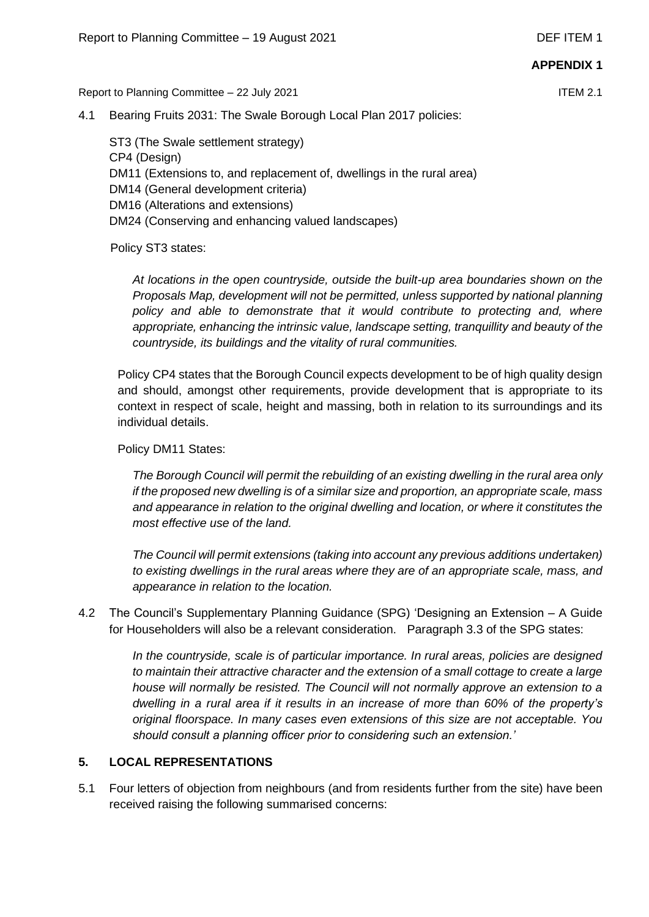Report to Planning Committee – 22 July 2021 ITEM 2.1

4.1 Bearing Fruits 2031: The Swale Borough Local Plan 2017 policies:

ST3 (The Swale settlement strategy) CP4 (Design) DM11 (Extensions to, and replacement of, dwellings in the rural area) DM14 (General development criteria) DM16 (Alterations and extensions) DM24 (Conserving and enhancing valued landscapes)

Policy ST3 states:

*At locations in the open countryside, outside the built-up area boundaries shown on the Proposals Map, development will not be permitted, unless supported by national planning*  policy and able to demonstrate that it would contribute to protecting and, where *appropriate, enhancing the intrinsic value, landscape setting, tranquillity and beauty of the countryside, its buildings and the vitality of rural communities.*

Policy CP4 states that the Borough Council expects development to be of high quality design and should, amongst other requirements, provide development that is appropriate to its context in respect of scale, height and massing, both in relation to its surroundings and its individual details.

Policy DM11 States:

*The Borough Council will permit the rebuilding of an existing dwelling in the rural area only if the proposed new dwelling is of a similar size and proportion, an appropriate scale, mass and appearance in relation to the original dwelling and location, or where it constitutes the most effective use of the land.* 

*The Council will permit extensions (taking into account any previous additions undertaken) to existing dwellings in the rural areas where they are of an appropriate scale, mass, and appearance in relation to the location.*

4.2 The Council's Supplementary Planning Guidance (SPG) 'Designing an Extension – A Guide for Householders will also be a relevant consideration. Paragraph 3.3 of the SPG states:

> *In the countryside, scale is of particular importance. In rural areas, policies are designed to maintain their attractive character and the extension of a small cottage to create a large house will normally be resisted. The Council will not normally approve an extension to a dwelling in a rural area if it results in an increase of more than 60% of the property's original floorspace. In many cases even extensions of this size are not acceptable. You should consult a planning officer prior to considering such an extension.'*

# **5. LOCAL REPRESENTATIONS**

5.1 Four letters of objection from neighbours (and from residents further from the site) have been received raising the following summarised concerns: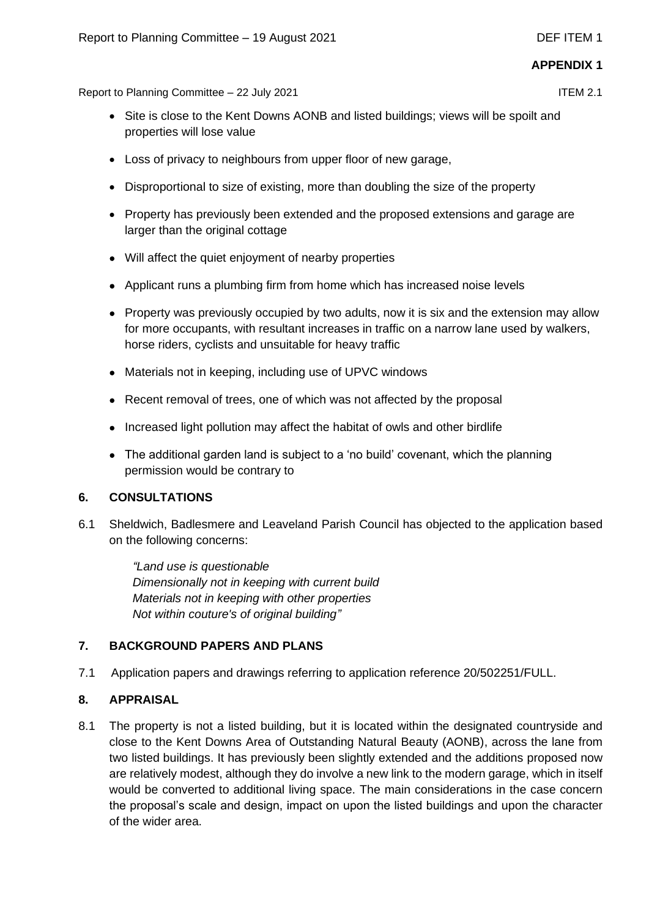Report to Planning Committee – 22 July 2021 ITEM 2.1

- Site is close to the Kent Downs AONB and listed buildings; views will be spoilt and properties will lose value
- Loss of privacy to neighbours from upper floor of new garage,
- Disproportional to size of existing, more than doubling the size of the property
- Property has previously been extended and the proposed extensions and garage are larger than the original cottage
- Will affect the quiet enjoyment of nearby properties
- Applicant runs a plumbing firm from home which has increased noise levels
- Property was previously occupied by two adults, now it is six and the extension may allow for more occupants, with resultant increases in traffic on a narrow lane used by walkers, horse riders, cyclists and unsuitable for heavy traffic
- Materials not in keeping, including use of UPVC windows
- Recent removal of trees, one of which was not affected by the proposal
- Increased light pollution may affect the habitat of owls and other birdlife
- The additional garden land is subject to a 'no build' covenant, which the planning permission would be contrary to

# **6. CONSULTATIONS**

6.1 Sheldwich, Badlesmere and Leaveland Parish Council has objected to the application based on the following concerns:

> *"Land use is questionable Dimensionally not in keeping with current build Materials not in keeping with other properties Not within couture's of original building"*

# **7. BACKGROUND PAPERS AND PLANS**

7.1 Application papers and drawings referring to application reference 20/502251/FULL.

# **8. APPRAISAL**

8.1 The property is not a listed building, but it is located within the designated countryside and close to the Kent Downs Area of Outstanding Natural Beauty (AONB), across the lane from two listed buildings. It has previously been slightly extended and the additions proposed now are relatively modest, although they do involve a new link to the modern garage, which in itself would be converted to additional living space. The main considerations in the case concern the proposal's scale and design, impact on upon the listed buildings and upon the character of the wider area.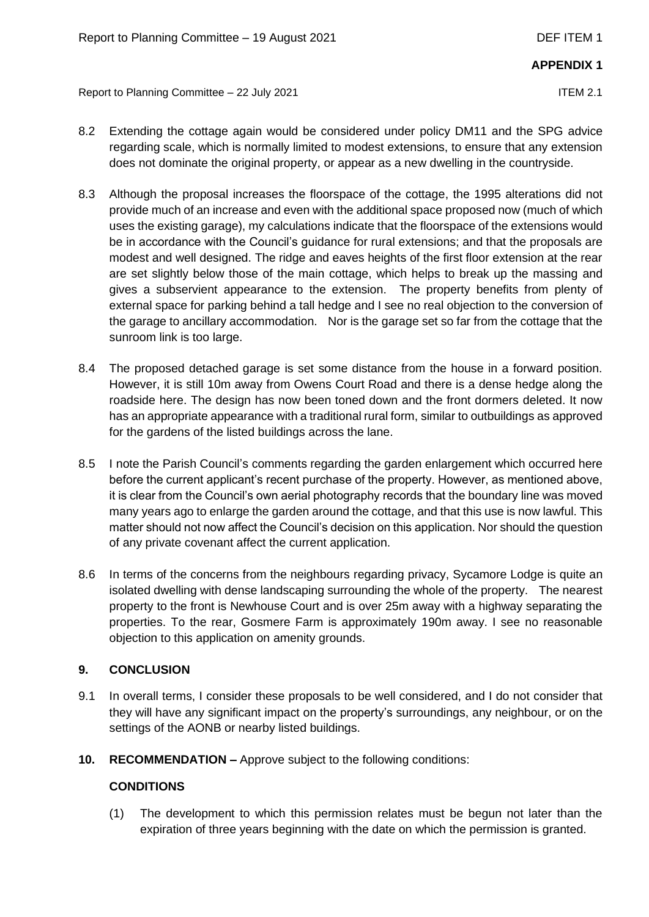Report to Planning Committee – 22 July 2021 ITEM 2.1

- 8.2 Extending the cottage again would be considered under policy DM11 and the SPG advice regarding scale, which is normally limited to modest extensions, to ensure that any extension does not dominate the original property, or appear as a new dwelling in the countryside.
- 8.3 Although the proposal increases the floorspace of the cottage, the 1995 alterations did not provide much of an increase and even with the additional space proposed now (much of which uses the existing garage), my calculations indicate that the floorspace of the extensions would be in accordance with the Council's guidance for rural extensions; and that the proposals are modest and well designed. The ridge and eaves heights of the first floor extension at the rear are set slightly below those of the main cottage, which helps to break up the massing and gives a subservient appearance to the extension. The property benefits from plenty of external space for parking behind a tall hedge and I see no real objection to the conversion of the garage to ancillary accommodation. Nor is the garage set so far from the cottage that the sunroom link is too large.
- 8.4 The proposed detached garage is set some distance from the house in a forward position. However, it is still 10m away from Owens Court Road and there is a dense hedge along the roadside here. The design has now been toned down and the front dormers deleted. It now has an appropriate appearance with a traditional rural form, similar to outbuildings as approved for the gardens of the listed buildings across the lane.
- 8.5 I note the Parish Council's comments regarding the garden enlargement which occurred here before the current applicant's recent purchase of the property. However, as mentioned above, it is clear from the Council's own aerial photography records that the boundary line was moved many years ago to enlarge the garden around the cottage, and that this use is now lawful. This matter should not now affect the Council's decision on this application. Nor should the question of any private covenant affect the current application.
- 8.6 In terms of the concerns from the neighbours regarding privacy, Sycamore Lodge is quite an isolated dwelling with dense landscaping surrounding the whole of the property. The nearest property to the front is Newhouse Court and is over 25m away with a highway separating the properties. To the rear, Gosmere Farm is approximately 190m away. I see no reasonable objection to this application on amenity grounds.

# **9. CONCLUSION**

- 9.1 In overall terms, I consider these proposals to be well considered, and I do not consider that they will have any significant impact on the property's surroundings, any neighbour, or on the settings of the AONB or nearby listed buildings.
- **10. RECOMMENDATION –** Approve subject to the following conditions:

# **CONDITIONS**

(1) The development to which this permission relates must be begun not later than the expiration of three years beginning with the date on which the permission is granted.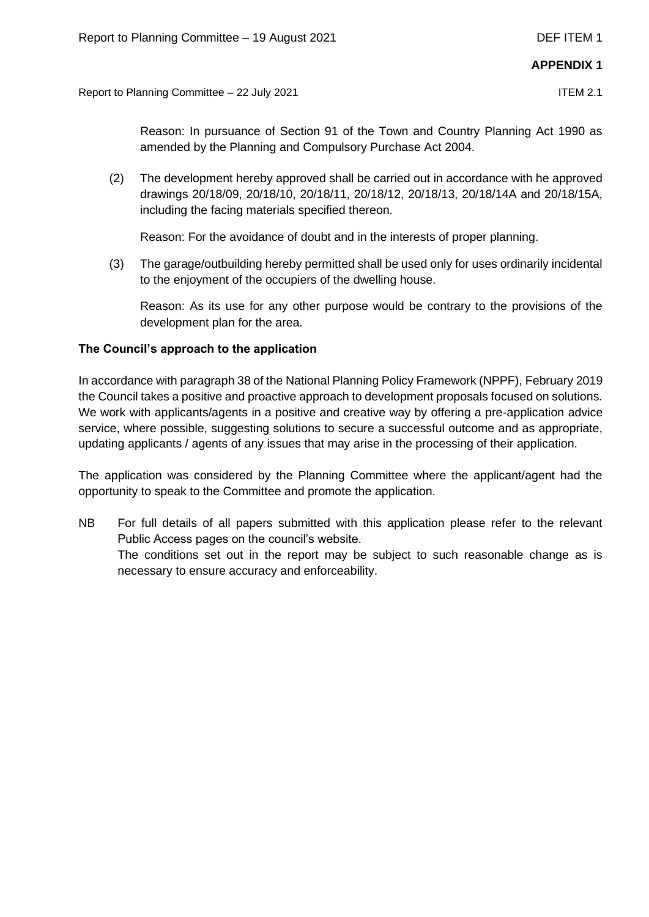Report to Planning Committee – 22 July 2021 ITEM 2.1

Reason: In pursuance of Section 91 of the Town and Country Planning Act 1990 as amended by the Planning and Compulsory Purchase Act 2004.

(2) The development hereby approved shall be carried out in accordance with he approved drawings 20/18/09, 20/18/10, 20/18/11, 20/18/12, 20/18/13, 20/18/14A and 20/18/15A, including the facing materials specified thereon.

Reason: For the avoidance of doubt and in the interests of proper planning.

(3) The garage/outbuilding hereby permitted shall be used only for uses ordinarily incidental to the enjoyment of the occupiers of the dwelling house.

Reason: As its use for any other purpose would be contrary to the provisions of the development plan for the area.

# **The Council's approach to the application**

In accordance with paragraph 38 of the National Planning Policy Framework (NPPF), February 2019 the Council takes a positive and proactive approach to development proposals focused on solutions. We work with applicants/agents in a positive and creative way by offering a pre-application advice service, where possible, suggesting solutions to secure a successful outcome and as appropriate, updating applicants / agents of any issues that may arise in the processing of their application.

The application was considered by the Planning Committee where the applicant/agent had the opportunity to speak to the Committee and promote the application.

NB For full details of all papers submitted with this application please refer to the relevant Public Access pages on the council's website. The conditions set out in the report may be subject to such reasonable change as is necessary to ensure accuracy and enforceability.